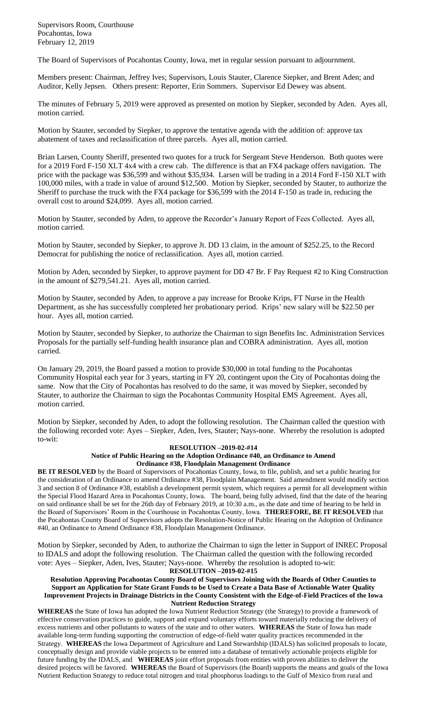Supervisors Room, Courthouse Pocahontas, Iowa February 12, 2019

The Board of Supervisors of Pocahontas County, Iowa, met in regular session pursuant to adjournment.

Members present: Chairman, Jeffrey Ives; Supervisors, Louis Stauter, Clarence Siepker, and Brent Aden; and Auditor, Kelly Jepsen. Others present: Reporter, Erin Sommers. Supervisor Ed Dewey was absent.

The minutes of February 5, 2019 were approved as presented on motion by Siepker, seconded by Aden. Ayes all, motion carried.

Motion by Stauter, seconded by Siepker, to approve the tentative agenda with the addition of: approve tax abatement of taxes and reclassification of three parcels. Ayes all, motion carried.

Brian Larsen, County Sheriff, presented two quotes for a truck for Sergeant Steve Henderson. Both quotes were for a 2019 Ford F-150 XLT 4x4 with a crew cab. The difference is that an FX4 package offers navigation. The price with the package was \$36,599 and without \$35,934. Larsen will be trading in a 2014 Ford F-150 XLT with 100,000 miles, with a trade in value of around \$12,500. Motion by Siepker, seconded by Stauter, to authorize the Sheriff to purchase the truck with the FX4 package for \$36,599 with the 2014 F-150 as trade in, reducing the overall cost to around \$24,099. Ayes all, motion carried.

Motion by Stauter, seconded by Aden, to approve the Recorder's January Report of Fees Collected. Ayes all, motion carried.

Motion by Stauter, seconded by Siepker, to approve Jt. DD 13 claim, in the amount of \$252.25, to the Record Democrat for publishing the notice of reclassification. Ayes all, motion carried.

Motion by Aden, seconded by Siepker, to approve payment for DD 47 Br. F Pay Request #2 to King Construction in the amount of \$279,541.21. Ayes all, motion carried.

Motion by Stauter, seconded by Aden, to approve a pay increase for Brooke Krips, FT Nurse in the Health Department, as she has successfully completed her probationary period. Krips' new salary will be \$22.50 per hour. Ayes all, motion carried.

Motion by Stauter, seconded by Siepker, to authorize the Chairman to sign Benefits Inc. Administration Services Proposals for the partially self-funding health insurance plan and COBRA administration. Ayes all, motion carried.

On January 29, 2019, the Board passed a motion to provide \$30,000 in total funding to the Pocahontas Community Hospital each year for 3 years, starting in FY 20, contingent upon the City of Pocahontas doing the same. Now that the City of Pocahontas has resolved to do the same, it was moved by Siepker, seconded by Stauter, to authorize the Chairman to sign the Pocahontas Community Hospital EMS Agreement. Ayes all, motion carried.

Motion by Siepker, seconded by Aden, to adopt the following resolution. The Chairman called the question with the following recorded vote: Ayes – Siepker, Aden, Ives, Stauter; Nays-none. Whereby the resolution is adopted to-wit:

## **RESOLUTION –2019-02-#14**

## **Notice of Public Hearing on the Adoption Ordinance #40, an Ordinance to Amend Ordinance #38, Floodplain Management Ordinance**

**BE IT RESOLVED** by the Board of Supervisors of Pocahontas County, Iowa, to file, publish, and set a public hearing for the consideration of an Ordinance to amend Ordinance #38, Floodplain Management. Said amendment would modify section 3 and section 8 of Ordinance #38, establish a development permit system, which requires a permit for all development within the Special Flood Hazard Area in Pocahontas County, Iowa. The board, being fully advised, find that the date of the hearing on said ordinance shall be set for the 26th day of February 2019, at 10:30 a.m., as the date and time of hearing to be held in the Board of Supervisors' Room in the Courthouse in Pocahontas County, Iowa. **THEREFORE, BE IT RESOLVED** that the Pocahontas County Board of Supervisors adopts the Resolution-Notice of Public Hearing on the Adoption of Ordinance #40, an Ordinance to Amend Ordinance #38, Floodplain Management Ordinance.

Motion by Siepker, seconded by Aden, to authorize the Chairman to sign the letter in Support of INREC Proposal to IDALS and adopt the following resolution. The Chairman called the question with the following recorded vote: Ayes – Siepker, Aden, Ives, Stauter; Nays-none. Whereby the resolution is adopted to-wit:

**RESOLUTION –2019-02-#15 Resolution Approving Pocahontas County Board of Supervisors Joining with the Boards of Other Counties to Support an Application for State Grant Funds to be Used to Create a Data Base of Actionable Water Quality Improvement Projects in Drainage Districts in the County Consistent with the Edge-of-Field Practices of the Iowa** 

**Nutrient Reduction Strategy WHEREAS** the State of Iowa has adopted the Iowa Nutrient Reduction Strategy (the Strategy) to provide a framework of effective conservation practices to guide, support and expand voluntary efforts toward materially reducing the delivery of excess nutrients and other pollutants to waters of the state and to other waters. **WHEREAS** the State of Iowa has made available long-term funding supporting the construction of edge-of-field water quality practices recommended in the Strategy. **WHEREAS** the Iowa Department of Agriculture and Land Stewardship (IDALS) has solicited proposals to locate, conceptually design and provide viable projects to be entered into a database of tentatively actionable projects eligible for future funding by the IDALS, and **WHEREAS** joint effort proposals from entities with proven abilities to deliver the desired projects will be favored. **WHEREAS** the Board of Supervisors (the Board) supports the means and goals of the Iowa Nutrient Reduction Strategy to reduce total nitrogen and total phosphorus loadings to the Gulf of Mexico from rural and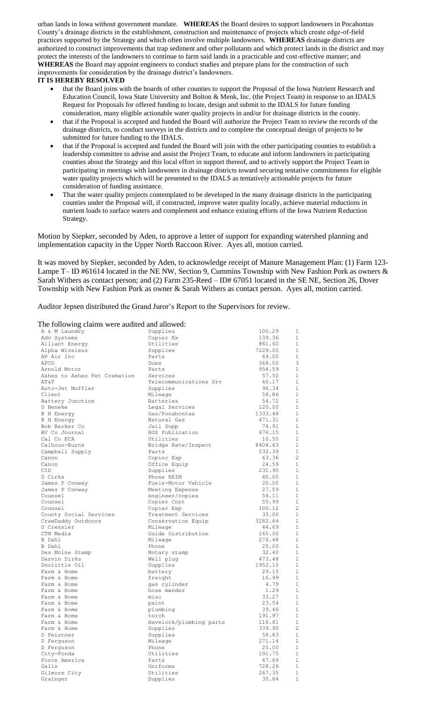urban lands in Iowa without government mandate. **WHEREAS** the Board desires to support landowners in Pocahontas County's drainage districts in the establishment, construction and maintenance of projects which create edge-of-field practices supported by the Strategy and which often involve multiple landowners. **WHEREAS** drainage districts are authorized to construct improvements that trap sediment and other pollutants and which protect lands in the district and may protect the interests of the landowners to continue to farm said lands in a practicable and cost-effective manner; and **WHEREAS** the Board may appoint engineers to conduct studies and prepare plans for the construction of such improvements for consideration by the drainage district's landowners.

## **IT IS HEREBY RESOLVED**

- that the Board joins with the boards of other counties to support the Proposal of the Iowa Nutrient Research and Education Council, Iowa State University and Bolton & Menk, Inc. (the Project Team) in response to an IDALS Request for Proposals for offered funding to locate, design and submit to the IDALS for future funding consideration, many eligible actionable water quality projects in and/or for drainage districts in the county.
- that if the Proposal is accepted and funded the Board will authorize the Project Team to review the records of the drainage districts, to conduct surveys in the districts and to complete the conceptual design of projects to be submitted for future funding to the IDALS.
- that if the Proposal is accepted and funded the Board will join with the other participating counties to establish a leadership committee to advise and assist the Project Team, to educate and inform landowners in participating counties about the Strategy and this local effort in support thereof, and to actively support the Project Team in participating in meetings with landowners in drainage districts toward securing tentative commitments for eligible water quality projects which will be presented to the IDALS as tentatively actionable projects for future consideration of funding assistance.
- That the water quality projects contemplated to be developed in the many drainage districts in the participating counties under the Proposal will, if constructed, improve water quality locally, achieve material reductions in nutrient loads to surface waters and complement and enhance existing efforts of the Iowa Nutrient Reduction Strategy.

Motion by Siepker, seconded by Aden, to approve a letter of support for expanding watershed planning and implementation capacity in the Upper North Raccoon River. Ayes all, motion carried.

It was moved by Siepker, seconded by Aden, to acknowledge receipt of Manure Management Plan: (1) Farm 123- Lampe T– ID #61614 located in the NE NW, Section 9, Cummins Township with New Fashion Pork as owners & Sarah Withers as contact person; and (2) Farm 235-Reed – ID# 67051 located in the SE NE, Section 26, Dover Township with New Fashion Pork as owner & Sarah Withers as contact person. Ayes all, motion carried.

Auditor Jepsen distributed the Grand Juror's Report to the Supervisors for review.

## The following claims were audited and allowed:

| The Tonowing claims were addred and anowed. |                         |         |                |
|---------------------------------------------|-------------------------|---------|----------------|
| A & M Laundry                               | Supplies                | 100.29  | $\mathbf 1$    |
| Adv Systems                                 | Copier Ex               | 139.36  | 1              |
| Alliant Energy                              | Utilities               | 861.60  | $\mathbf{1}$   |
| Alpha Wireless                              | Supplies                | 7229.00 | -1             |
| AP Air Inc                                  | Parts                   | 69.00   | $\mathbf{1}$   |
| APCO                                        | Dues                    | 368.00  | 3              |
| Arnold Motor                                | Parts                   | 954.59  | 1              |
| Ashes to Ashes Pet Cremation                | Services                | 57.50   | 1              |
| AΤ&Τ                                        | Telecommunications Srv  | 46.17   | $\mathbf{1}$   |
| Auto-Jet Muffler                            | Supplies                | 96.34   | $\mathbf{1}$   |
| Client                                      | Mileage                 | 58.86   | $\mathbf{1}$   |
| Battery Junction                            | Batteries               | 54.72   | $\mathbf{1}$   |
| D Beneke                                    | Legal Services          | 120.00  | $\mathbf{1}$   |
| <b>B</b> H Energy                           | Gas/Pocahontas          | 1333.48 | $\mathbf{1}$   |
| <b>B</b> H Energy                           | Natural Gas             | 471.31  | $\mathbf 1$    |
| Bob Barker Co                               | Jail Supp               | 74.91   | $\mathbf{1}$   |
| BV Co Journal                               | BOS Publication         | 676.15  | 1              |
| Cal Co ECA                                  | Utilities               | 10.50   | $\mathbf{1}$   |
| Calhoun-Burns                               | Bridge Rate/Inspect     | 8404.63 | $\mathbf{1}$   |
| Campbell Supply                             | Parts                   | 532.39  | $\mathbf{1}$   |
| Canon                                       | Copier Exp              | 63.36   | $\overline{c}$ |
| Canon                                       | Office Equip            | 24.59   | $\mathbf{1}$   |
| CID                                         | Supplies                | 231.90  | 1              |
| D Cirks                                     | Phone REIM              | 80.00   | $\mathbf 1$    |
| James P Conway                              | Fuels-Motor Vehicle     | 20.00   | 1              |
| James P Conway                              | Meeting Expense         | 27.59   | 1              |
| Counsel                                     | engineer/copies         | 54.11   | 1              |
| Counsel                                     | Copier Cont             | 55.99   | $\mathbf{1}$   |
| Counsel                                     | Copier Exp              | 100.12  | $\overline{c}$ |
| County Social Services                      | Treatment Services      | 33.00   | $\mathbf{1}$   |
| CrawDaddy Outdoors                          | Conservation Equip      | 3282.64 | $\mathbf{1}$   |
| O Cressler                                  | Mileage                 | 44.69   | $\mathbf{1}$   |
| CTM Media                                   | Guide Distribution      | 165.00  | 1              |
| B Dahl                                      | Mileage                 | 276.48  | 1              |
| B Dahl                                      | Phone                   | 25.00   | 1              |
| Des Moine Stamp                             | Notary stamp            | 32.40   | 1              |
| Darvin Dirks                                | Well plug               | 473.48  | $\mathbf{1}$   |
| Doolittle Oil                               | Supplies                | 1952.10 | $\mathbf{1}$   |
| Farm & Home                                 | battery                 | 29.15   | $\mathbf{1}$   |
| Farm & Home                                 | freight                 | 16.99   | 1              |
| Farm & Home                                 | gas cylinder            | 4.79    | $\mathbf{1}$   |
| Farm & Home                                 | hose mender             | 1.29    | 1              |
| Farm & Home                                 | misc                    | 33.27   | $\mathbf{1}$   |
| Farm & Home                                 | paint                   | 23.54   | $\mathbf{1}$   |
| Farm & Home                                 | plumbing                | 39.46   | 1              |
| Farm & Home                                 | torch                   | 191.97  | $\mathbf{1}$   |
| Farm & Home                                 | Havelock/plumbing parts | 116.81  | $\mathbf{1}$   |
| Farm & Home                                 | Supplies                | 339.90  | $\overline{c}$ |
| D Feistner                                  | Supplies                | 58.83   | $\mathbf{1}$   |
| D Ferquson                                  | Mileage                 | 271.14  | $\mathbf{1}$   |
| D Ferguson                                  | Phone                   | 25.00   | 1              |
| City-Fonda                                  | Utilities               | 191.75  | $\mathbf{1}$   |
| Force America                               | Parts                   | 47.69   | $\mathbf{1}$   |
| Galls                                       | Uniforms                | 728.26  | 1              |
| Gilmore City                                | Utilities               | 267.35  | $\mathbf{1}$   |
| Grainger                                    | Supplies                | 30.84   | $\mathbf{1}$   |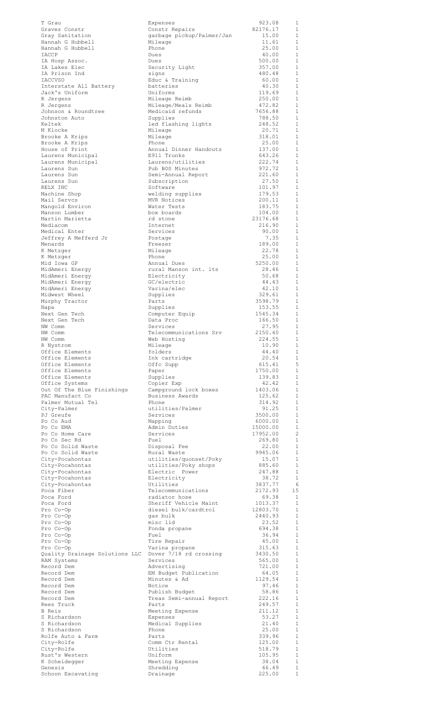| T Grau<br>Graves Constr            | Expenses<br>Constr Repairs            | 923.08<br>82176.17  | 1<br>1              |
|------------------------------------|---------------------------------------|---------------------|---------------------|
| Gray Sanitation                    | garbage pickup/Palmer/Jan             | 15.00               | 1                   |
| Hannah G Hubbell                   | Mileage                               | 11.61               | 1                   |
| Hannah G Hubbell                   | Phone                                 | 25.00               | 1                   |
| <b>IACCP</b>                       | Dues                                  | 40.00               | 1                   |
| IA Hosp Assoc.                     | Dues                                  | 500.00              | $\mathbf{1}$        |
| IA Lakes Elec                      | Security Light                        | 357.00              | 1                   |
| IA Prison Ind<br><b>IACCVSO</b>    | signs<br>Educ & Training              | 480.48<br>60.00     | 1<br>1              |
| Interstate All Battery             | batteries                             | 40.30               | $\mathbf{1}$        |
| Jack's Uniform                     | Uniforms                              | 119.69              | 1                   |
| R Jergens                          | Mileage Reimb                         | 250.00              | $\mathbf{1}$        |
| R Jergens                          | Mileage/Meals Reimb                   | 472.82              | 1                   |
| Johnson & Roundtree                | Medicaid refunds                      | 7656.88             | $\mathbf{1}$        |
| Johnston Auto                      | Supplies                              | 788.50              | 1                   |
| Keltek                             | led flashing lights                   | 248.52              | $\mathbf{1}$        |
| M Klocke                           | Mileage                               | 20.71               | 1                   |
| Brooke A Krips                     | Mileage                               | 318.01              | $\mathbf{1}$        |
| Brooke A Krips                     | Phone                                 | 25.00               | 1                   |
| House of Print                     | Annual Dinner Handouts                | 137.00              | $\mathbf{1}$        |
| Laurens Municipal                  | E911 Trunks                           | 643.26              | 1<br>$\mathbf{1}$   |
| Laurens Municipal<br>Laurens Sun   | Laurens/utilities<br>Pub BOS Minutes  | 222.74<br>972.72    | 1                   |
| Laurens Sun                        | Semi-Annual Report                    | 221.60              | 1                   |
| Laurens Sun                        | Subscription                          | 27.50               | 1                   |
| RELX INC                           | Software                              | 101.97              | 1                   |
| Machine Shop                       | welding supplies                      | 179.53              | 1                   |
| Mail Servcs                        | MVR Notices                           | 200.11              | 1                   |
| Mangold Environ                    | Water Tests                           | 183.75              | 1                   |
| Manson Lumber                      | box boards                            | 104.00              | 1                   |
| Martin Marietta                    | rd stone                              | 23176.68            | 1                   |
| Mediacom                           | Internet                              | 216.90              | 1                   |
| Medical Enter                      | Services                              | 90.00               | 1                   |
| Jeffrey A Mefferd Jr               | Postage                               | 7.35<br>189.00      | $\mathbf{1}$<br>1   |
| Menards                            | Freezer<br>Mileage                    | 22.78               | 1                   |
| K Metzger<br>K Metzger             | Phone                                 | 25.00               | 1                   |
| Mid Iowa GP                        | Annual Dues                           | 5250.00             | 1                   |
| MidAmeri Energy                    | rural Manson int. lts                 | 28.46               | 1                   |
| MidAmeri Energy                    | Electricity                           | 50.68               | 1                   |
| MidAmeri Energy                    | GC/electric                           | 44.43               | 1                   |
| MidAmeri Energy                    | Varina/elec                           | 42.10               | $\mathbf{1}$        |
| Midwest Wheel                      | Supplies                              | 329.61              | 1                   |
| Murphy Tractor                     | Parts                                 | 3598.79             | $\mathbf{1}$        |
| Napa                               | Supplies                              | 153.55              | 1                   |
| Next Gen Tech                      | Computer Equip                        | 1545.34             | $\mathbf{1}$        |
| Next Gen Tech                      | Data Proc                             | 166.50              | 1                   |
| NW Comm<br>NW Comm                 | Services                              | 27.95<br>2150.40    | 1<br>1              |
| NW Comm                            | Telecommunications Srv<br>Web Hosting | 224.55              | 1                   |
| R Nystrom                          | Mileage                               | 10.90               | 1                   |
|                                    |                                       |                     |                     |
|                                    |                                       |                     | $\mathbf{1}$        |
| Office Elements<br>Office Elements | folders<br>Ink cartridge              | 44.40<br>20.54      | 1                   |
| Office Elements                    | Offc Supp                             | 615.41              | 5                   |
| Office Elements                    | Paper                                 | 1750.00             | 1                   |
| Office Elements                    | Supplies                              | 139.83              | 1                   |
| Office Systems                     | Copier Exp                            | 42.42               | 1                   |
| Out Of The Blue Finishings         | Campground lock boxes                 | 1403.06             | 1                   |
| PAC Manufact Co                    | Business Awards                       | 125.62              | $\mathbf{1}$        |
| Palmer Mutual Tel                  | Phone                                 | 314.92              | 1                   |
| City-Palmer                        | utilities/Palmer                      | 91.25               | $\mathbf{1}$        |
| PJ Greufe                          | Services                              | 3500.00             | 1<br>$\mathbf{1}$   |
| Po Co Aud<br>Po Co EMA             | Mapping<br>Admin Duties               | 6000.00<br>15000.00 | 1                   |
| Po Co Home Care                    | Services                              | 17952.00            | $\overline{c}$      |
| Po Co Sec Rd                       | Fuel                                  | 269.80              | $\mathbf{1}$        |
| Po Co Solid Waste                  | Disposal Fee                          | 22.00               | $\mathbf{1}$        |
| Po Co Solid Waste                  | Rural Waste                           | 9945.06             | $\mathbf{1}$        |
| City-Pocahontas                    | utilities/quonset/Poky                | 15.07               | $\mathbf{1}$        |
| City-Pocahontas                    | utilities/Poky shops                  | 885.60              | 1                   |
| City-Pocahontas                    | Electric Power                        | 247.88              | 1                   |
| City-Pocahontas                    | Electricity                           | 38.72               | 1                   |
| City-Pocahontas                    | Utilities                             | 3837.77             | 6                   |
| Poca Fiber<br>Poca Ford            | Telecommunications<br>radiator hose   | 2172.93<br>69.38    | 15<br>1             |
| Poca Ford                          | Sheriff Vehicle Maint                 | 1013.37             | 1                   |
| Pro Co-Op                          | diesel bulk/cardtrol                  | 12803.70            | 1                   |
| Pro Co-Op                          | gas bulk                              | 2440.93             | 1                   |
| Pro Co-Op                          | misc lid                              | 23.52               | $\mathbf{1}$        |
| Pro Co-Op                          | Fonda propane                         | 694.38              | 1                   |
| Pro Co-Op                          | Fuel                                  | 36.94               | $\mathbf{1}$        |
| Pro Co-Op                          | Tire Repair                           | 45.00               | 1                   |
| Pro Co-Op                          | Varina propane                        | 315.63              | 1                   |
| Quality Drainage Solutions LLC     | Dover 7/18 rd crossing<br>Services    | 3430.50<br>565.00   | 1<br>1              |
| RAM Systems<br>Record Dem          | Advertising                           | 721.00              | 1                   |
| Record Dem                         | EM Budget Publication                 | 64.05               | 1                   |
| Record Dem                         | Minutes & Ad                          | 1129.54             | 1                   |
| Record Dem                         | Notice                                | 97.46               | 1                   |
| Record Dem                         | Publish Budget                        | 58.86               | 1                   |
| Record Dem                         | Treas Semi-annual Report              | 222.16              | 1                   |
| Rees Truck                         | Parts                                 | 249.57              | 1                   |
| B Reis                             | Meeting Expense                       | 211.12              | 1                   |
| S Richardson                       | Expenses                              | 53.27               | 1                   |
| S Richardson                       | Medical Supplies                      | 21.40               | 1                   |
| S Richardson                       | Phone                                 | 25.00               | $\mathbf{1}$        |
| Rolfe Auto & Farm                  | Parts                                 | 339.96              | 1<br>$\overline{1}$ |
| City-Rolfe<br>City-Rolfe           | Comm Ctr Rental<br>Utilities          | 125.00<br>518.79    | 1                   |
| Rust's Western                     | Uniform                               | 105.95              | $\mathbf 1$         |
| K Scheidegger                      | Meeting Expense                       | 38.04               | 1                   |
| Genesis<br>Schoon Excavating       | Shredding<br>Drainage                 | 66.49<br>225.00     | $\mathbf{1}$<br>1   |